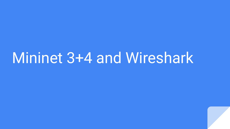# Mininet 3+4 and Wireshark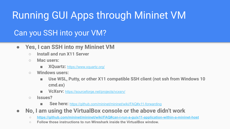# Running GUI Apps through Mininet VM

#### Can you SSH into your VM?

- **● Yes, I can SSH into my Mininet VM**
	- **○ Install and run X11 Server**
	- **○ Mac users:**
		- **XQuartz: <https://www.xquartz.org/>**
	- **○ Windows users:**
		- Use WSL, Putty, or other X11 compatible SSH client (not ssh from Windows 10 **cmd.ex)**
		- **■ VcXsrv:** <https://sourceforge.net/projects/vcxsrv/>
	- **○ Issues?**
		- See here: <https://github.com/mininet/mininet/wiki/FAQ#x11-forwarding>
- **● No, I am using the VirtualBox console or the above didn't work**
	- **○ <https://github.com/mininet/mininet/wiki/FAQ#can-i-run-a-guix11-application-within-a-mininet-host>**
	- **○ Follow those instructions to run Wireshark inside the VirtualBox window.**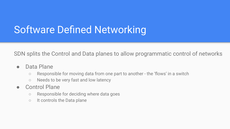### Software Defined Networking

SDN splits the Control and Data planes to allow programmatic control of networks

- Data Plane
	- Responsible for moving data from one part to another the 'flows' in a switch
	- Needs to be very fast and low latency
- Control Plane
	- Responsible for deciding where data goes
	- It controls the Data plane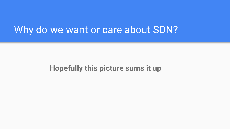#### Why do we want or care about SDN?

#### **Hopefully this picture sums it up**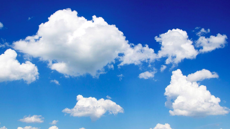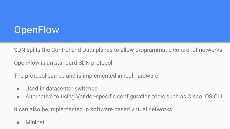### **OpenFlow**

SDN splits the Control and Data planes to allow programmatic control of networks

OpenFlow is an standard SDN protocol.

The protocol can be and is implemented in real hardware.

- Used in datacenter switches
- Alternative to using Vendor-specific configuration tools such as Cisco IOS CLI

It can also be implemented in software-based virtual networks.

**Mininet**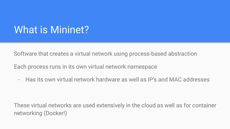### What is Mininet?

Software that creates a virtual network using process-based abstraction

Each process runs in its own virtual network namespace

- Has its own virtual network hardware as well as IP's and MAC addresses

These virtual networks are used extensively in the cloud as well as for container networking (Docker!)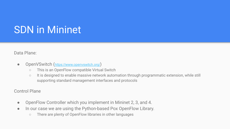### SDN in Mininet

Data Plane:

- OpenVSwitch (<https://www.openvswitch.org/>)
	- This is an OpenFlow compatible Virtual Switch
	- It is designed to enable massive network automation through programmatic extension, while still supporting standard management interfaces and protocols

Control Plane

- OpenFlow Controller which you implement in Mininet 2, 3, and 4.
- In our case we are using the Python-based Pox OpenFlow Library.
	- There are plenty of OpenFlow libraries in other languages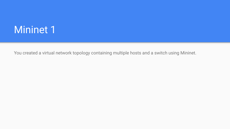You created a virtual network topology containing multiple hosts and a switch using Mininet.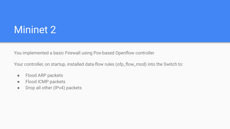You implemented a basic Firewall using Pox-based Openflow controller

Your controller, on startup, installed data-flow rules (ofp\_flow\_mod) into the Switch to:

- Flood ARP packets
- Flood ICMP packets
- Drop all other (IPv4) packets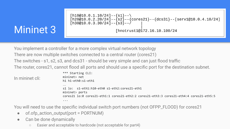```
[h10@10.0.1.10/24]--{s1}--\<br>[h20@10.0.2.20/24]--{s2}--{cores21}--{dcs31}--[serv1@10.0.4.10/24]<br>[h30@10.0.3.30/24]--{s3}--/ |
                                  [hnotrust1@172.16.10.100/24
```
You implement a controller for a more complex virtual network topology There are now multiple switches connected to a central router (cores21) The switches - s1, s2, s3, and dcs31 - should be very simple and can just flood traffic The router, cores21, cannot flood all ports and should use a specific port for the destination subnet.

In mininet cli:

\*\*\* Starting CLI: mininet> net h1 h1-eth0:s1-eth1 … s1 lo: s1-eth1:h10-eth0 s1-eth2:cores21-eth1 mininet> ports cores21 lo:0 cores21-eth1:1 cores21-eth2:2 cores21-eth3:3 cores21-eth4:4 cores21-eth5:5 ...

You will need to use the specific individual switch port numbers (not OFPP\_FLOOD) for cores21

- of.ofp\_action\_output(port = PORTNUM)
- Can be done dynamically
	- Easier and acceptable to hardcode (not acceptable for part4)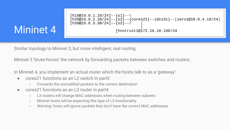[h10@10.0.1.10/24]--{s1}--\<br>[h20@10.0.2.20/24]--{s2}--{cores21}--{dcs31}--[serv1@10.0.4.10/24]<br>[h30@10.0.3.30/24]--{s3}--/ | [hnotrust1@172.16.10.100/24

Similar topology to Mininet 3, but more intelligent, real routing.

Mininet 3 'brute-forces' the network by forwarding packets between switches and routers.

In Mininet 4, you implement an actual router which the hosts talk to as a 'gateway':

- cores21 functions as an L2 switch in part3
	- Forwards the unmodified packets to the correct destination
- cores21 functions as an L3 router in part4
	- $\circ$  L3 routers will change MAC addresses when routing between subnets
	- Mininet hosts will be expecting this type of L3 functionality
	- Warning: hosts will ignore packets that don't have the correct MAC addresses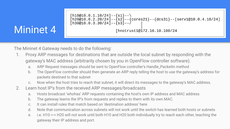[h10@10.0.1.10/24]--{s1}--\<br>[h20@10.0.2.20/24]--{s2}--{cores21}--{dcs31}--[serv1@10.0.4.10/24]  $\lceil h30010.0.3.30/24 \rceil - \{ s3 \} - \sqrt{ s^2 }$ [hnotrust1@172.16.10.100/24

The Mininet 4 Gateway needs to do the following:

- 1. Proxy ARP messages for destinations that are outside the local subnet by responding with the gateway's MAC address (arbitrarily chosen by you in OpenFlow controller software).
	- a. ARP Request messages should be sent to OpenFlow controller's Handle\_PacketIn method
	- b. The OpenFlow controller should then generate an ARP reply telling the host to use the gateway's address for packets destined to that subnet
	- c. Now when the host tries to reach that subnet, it will direct its messages to the gateway's MAC address.
- 2. Learn host IP's from the received ARP messages/broadcasts
	- a. Hosts broadcast 'whohas' ARP requests containing the host's own IP address and MAC address
	- b. The gateway learns the IP's from requests and replies to them with its own MAC.
	- c. It can install rules that match based on 'destination address' here
	- d. Note that communication across subnets will not work until the switch has learned both hosts or subnets
	- e. i.e. H10 <-> H20 will not work until both H10 and H20 both individually try to reach each other, teaching the gateway their IP address and port.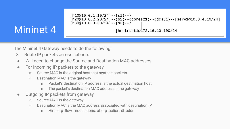```
[h10@10.0.1.10/24]--{s1}--\<br>[h20@10.0.2.20/24]--{s2}--{cores21}--{dcs31}--[serv1@10.0.4.10/24]
\lceil h30010.0.3.30/24 \rceil - \{ s3 \} - \sqrt{ s^2 }[hnotrust1@172.16.10.100/24
```
The Mininet 4 Gateway needs to do the following:

- 3. Route IP packets across subnets
- Will need to change the Source and Destination MAC addresses
- For Incoming IP packets to the gateway
	- Source MAC is the original host that sent the packets
	- Destination MAC is the gateway
		- Packet's destination IP address is the actual destination host
		- The packet's destination MAC address is the gateway
- Outgoing IP packets from gateway
	- Source MAC is the gateway
	- $\circ$  Destination MAC is the MAC address associated with destination IP
		- Hint: ofp\_flow\_mod actions: of.ofp\_action\_dl\_addr